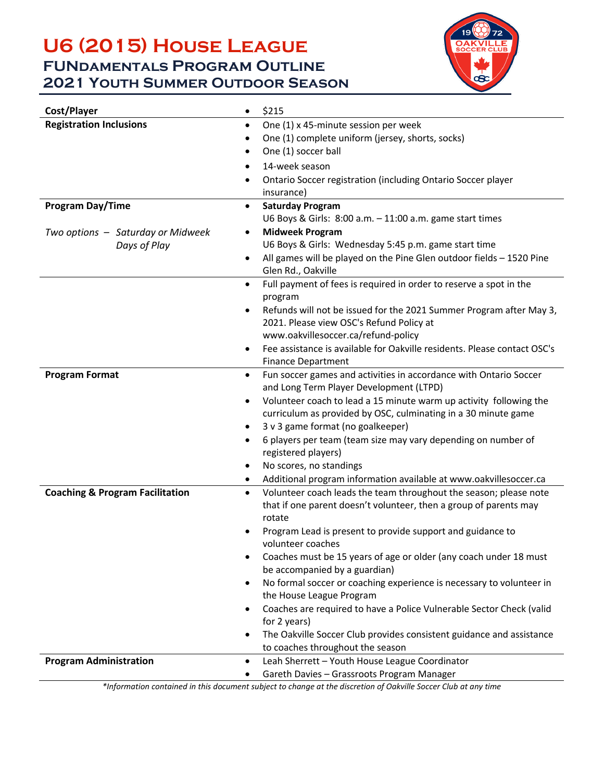## **U6 (2015) House League FUNdamentals Program Outline 2021 Youth Summer Outdoor Season**



| Cost/Player<br>$\bullet$                    | \$215                                                                                           |  |  |
|---------------------------------------------|-------------------------------------------------------------------------------------------------|--|--|
| <b>Registration Inclusions</b><br>$\bullet$ | One (1) x 45-minute session per week                                                            |  |  |
|                                             | One (1) complete uniform (jersey, shorts, socks)                                                |  |  |
|                                             | One (1) soccer ball                                                                             |  |  |
|                                             | 14-week season<br>$\bullet$                                                                     |  |  |
|                                             | Ontario Soccer registration (including Ontario Soccer player<br>$\bullet$                       |  |  |
|                                             | insurance)                                                                                      |  |  |
| Program Day/Time                            | <b>Saturday Program</b><br>٠                                                                    |  |  |
|                                             | U6 Boys & Girls: 8:00 a.m. - 11:00 a.m. game start times                                        |  |  |
| Two options - Saturday or Midweek           | <b>Midweek Program</b><br>$\bullet$                                                             |  |  |
| Days of Play                                | U6 Boys & Girls: Wednesday 5:45 p.m. game start time                                            |  |  |
| $\bullet$                                   | All games will be played on the Pine Glen outdoor fields - 1520 Pine                            |  |  |
|                                             | Glen Rd., Oakville                                                                              |  |  |
|                                             | Full payment of fees is required in order to reserve a spot in the<br>$\bullet$<br>program      |  |  |
|                                             | Refunds will not be issued for the 2021 Summer Program after May 3,<br>$\bullet$                |  |  |
|                                             | 2021. Please view OSC's Refund Policy at                                                        |  |  |
|                                             | www.oakvillesoccer.ca/refund-policy                                                             |  |  |
|                                             | Fee assistance is available for Oakville residents. Please contact OSC's<br>$\bullet$           |  |  |
|                                             | <b>Finance Department</b>                                                                       |  |  |
| <b>Program Format</b>                       | Fun soccer games and activities in accordance with Ontario Soccer<br>$\bullet$                  |  |  |
|                                             | and Long Term Player Development (LTPD)                                                         |  |  |
|                                             | Volunteer coach to lead a 15 minute warm up activity following the<br>$\bullet$                 |  |  |
|                                             | curriculum as provided by OSC, culminating in a 30 minute game                                  |  |  |
|                                             | 3 v 3 game format (no goalkeeper)<br>$\bullet$                                                  |  |  |
|                                             | 6 players per team (team size may vary depending on number of<br>$\bullet$                      |  |  |
|                                             | registered players)                                                                             |  |  |
|                                             | No scores, no standings<br>٠                                                                    |  |  |
|                                             | Additional program information available at www.oakvillesoccer.ca<br>٠                          |  |  |
| <b>Coaching &amp; Program Facilitation</b>  | Volunteer coach leads the team throughout the season; please note<br>$\bullet$                  |  |  |
|                                             | that if one parent doesn't volunteer, then a group of parents may                               |  |  |
|                                             | rotate                                                                                          |  |  |
|                                             | Program Lead is present to provide support and guidance to                                      |  |  |
|                                             |                                                                                                 |  |  |
|                                             | volunteer coaches                                                                               |  |  |
|                                             | Coaches must be 15 years of age or older (any coach under 18 must<br>٠                          |  |  |
|                                             | be accompanied by a guardian)                                                                   |  |  |
|                                             | No formal soccer or coaching experience is necessary to volunteer in<br>$\bullet$               |  |  |
|                                             | the House League Program                                                                        |  |  |
|                                             | Coaches are required to have a Police Vulnerable Sector Check (valid<br>$\bullet$               |  |  |
|                                             | for 2 years)                                                                                    |  |  |
|                                             | The Oakville Soccer Club provides consistent guidance and assistance<br>$\bullet$               |  |  |
| <b>Program Administration</b>               | to coaches throughout the season<br>Leah Sherrett - Youth House League Coordinator<br>$\bullet$ |  |  |

*\*Information contained in this document subject to change at the discretion of Oakville Soccer Club at any time*